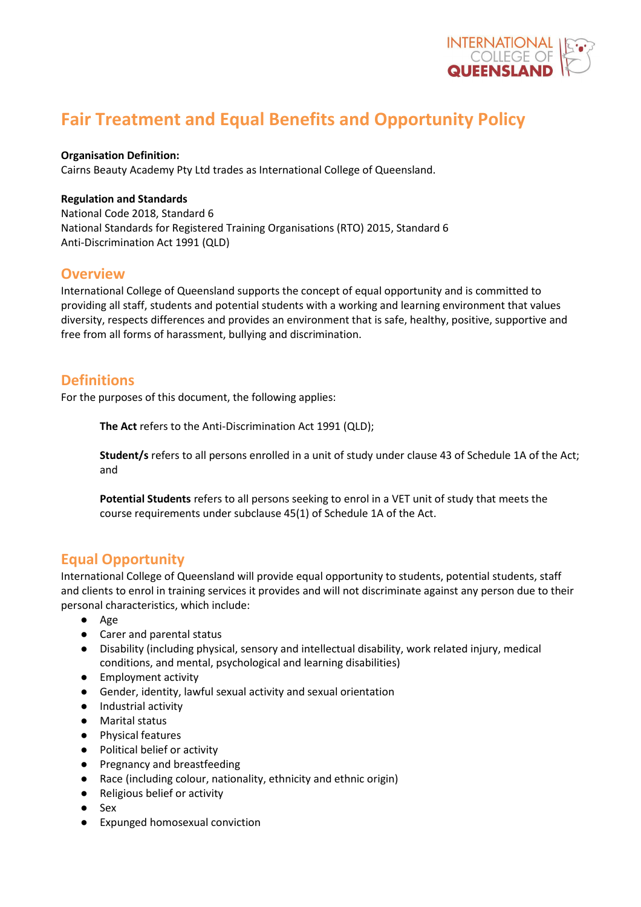

# **Fair Treatment and Equal Benefits and Opportunity Policy**

#### **Organisation Definition:**

Cairns Beauty Academy Pty Ltd trades as International College of Queensland.

#### **Regulation and Standards**

National Code 2018, Standard 6 National Standards for Registered Training Organisations (RTO) 2015, Standard 6 Anti-Discrimination Act 1991 (QLD)

### **Overview**

International College of Queensland supports the concept of equal opportunity and is committed to providing all staff, students and potential students with a working and learning environment that values diversity, respects differences and provides an environment that is safe, healthy, positive, supportive and free from all forms of harassment, bullying and discrimination.

# **Definitions**

For the purposes of this document, the following applies:

**The Act** refers to the Anti-Discrimination Act 1991 (QLD);

**Student/s** refers to all persons enrolled in a unit of study under clause 43 of Schedule 1A of the Act; and

**Potential Students** refers to all persons seeking to enrol in a VET unit of study that meets the course requirements under subclause 45(1) of Schedule 1A of the Act.

# **Equal Opportunity**

International College of Queensland will provide equal opportunity to students, potential students, staff and clients to enrol in training services it provides and will not discriminate against any person due to their personal characteristics, which include:

- Age
- Carer and parental status
- Disability (including physical, sensory and intellectual disability, work related injury, medical conditions, and mental, psychological and learning disabilities)
- Employment activity
- Gender, identity, lawful sexual activity and sexual orientation
- Industrial activity
- Marital status
- Physical features
- Political belief or activity
- Pregnancy and breastfeeding
- Race (including colour, nationality, ethnicity and ethnic origin)
- Religious belief or activity
- Sex
- Expunged homosexual conviction